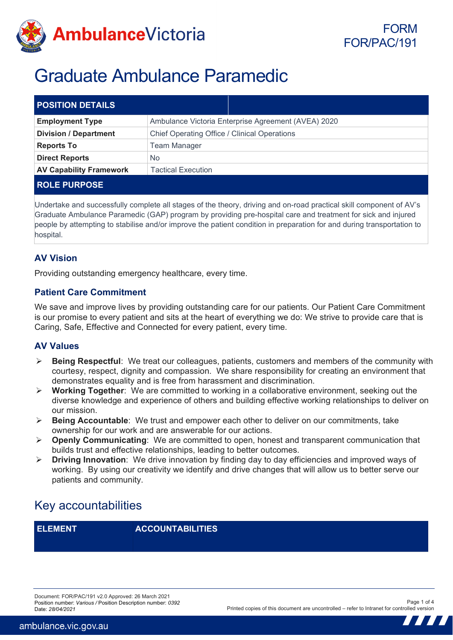

# Graduate Ambulance Paramedic

| <b>POSITION DETAILS</b>        |                                                     |
|--------------------------------|-----------------------------------------------------|
| <b>Employment Type</b>         | Ambulance Victoria Enterprise Agreement (AVEA) 2020 |
| <b>Division / Department</b>   | Chief Operating Office / Clinical Operations        |
| <b>Reports To</b>              | <b>Team Manager</b>                                 |
| <b>Direct Reports</b>          | No                                                  |
| <b>AV Capability Framework</b> | Tactical Execution                                  |
| <b>ROLE PURPOSE</b>            |                                                     |

Undertake and successfully complete all stages of the theory, driving and on-road practical skill component of AV's Graduate Ambulance Paramedic (GAP) program by providing pre-hospital care and treatment for sick and injured people by attempting to stabilise and/or improve the patient condition in preparation for and during transportation to hospital.

### **AV Vision**

Providing outstanding emergency healthcare, every time.

### **Patient Care Commitment**

We save and improve lives by providing outstanding care for our patients. Our Patient Care Commitment is our promise to every patient and sits at the heart of everything we do: We strive to provide care that is Caring, Safe, Effective and Connected for every patient, every time.

#### **AV Values**

- **Being Respectful**: We treat our colleagues, patients, customers and members of the community with courtesy, respect, dignity and compassion. We share responsibility for creating an environment that demonstrates equality and is free from harassment and discrimination.
- **Working Together**: We are committed to working in a collaborative environment, seeking out the diverse knowledge and experience of others and building effective working relationships to deliver on our mission.
- **Being Accountable**: We trust and empower each other to deliver on our commitments, take ownership for our work and are answerable for our actions.
- **Openly Communicating**: We are committed to open, honest and transparent communication that builds trust and effective relationships, leading to better outcomes.
- **Driving Innovation**: We drive innovation by finding day to day efficiencies and improved ways of working. By using our creativity we identify and drive changes that will allow us to better serve our patients and community.

# Key accountabilities

**ELEMENT ACCOUNTABILITIES**

Document: FOR/PAC/191 v2.0 Approved: 26 March 2021 Position number: *Various /* Position Description number: *0392* Date: *28/04/2021* 

Page 1 of 4 Printed copies of this document are uncontrolled – refer to Intranet for controlled version

> 77 77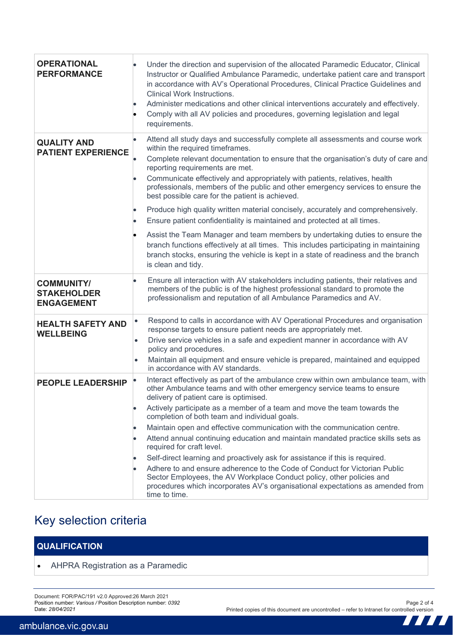| <b>OPERATIONAL</b><br><b>PERFORMANCE</b>                     | Under the direction and supervision of the allocated Paramedic Educator, Clinical<br>Instructor or Qualified Ambulance Paramedic, undertake patient care and transport<br>in accordance with AV's Operational Procedures, Clinical Practice Guidelines and<br><b>Clinical Work Instructions.</b><br>Administer medications and other clinical interventions accurately and effectively.<br>Comply with all AV policies and procedures, governing legislation and legal<br>requirements.                                                                                                                                                                                                                                                                                                                                                                                                              |
|--------------------------------------------------------------|------------------------------------------------------------------------------------------------------------------------------------------------------------------------------------------------------------------------------------------------------------------------------------------------------------------------------------------------------------------------------------------------------------------------------------------------------------------------------------------------------------------------------------------------------------------------------------------------------------------------------------------------------------------------------------------------------------------------------------------------------------------------------------------------------------------------------------------------------------------------------------------------------|
| <b>QUALITY AND</b><br><b>PATIENT EXPERIENCE</b>              | Attend all study days and successfully complete all assessments and course work<br>within the required timeframes.<br>Complete relevant documentation to ensure that the organisation's duty of care and<br>reporting requirements are met.<br>Communicate effectively and appropriately with patients, relatives, health<br>professionals, members of the public and other emergency services to ensure the<br>best possible care for the patient is achieved.<br>Produce high quality written material concisely, accurately and comprehensively.<br>Ensure patient confidentiality is maintained and protected at all times.<br>Assist the Team Manager and team members by undertaking duties to ensure the<br>branch functions effectively at all times. This includes participating in maintaining                                                                                             |
| <b>COMMUNITY/</b><br><b>STAKEHOLDER</b><br><b>ENGAGEMENT</b> | branch stocks, ensuring the vehicle is kept in a state of readiness and the branch<br>is clean and tidy.<br>Ensure all interaction with AV stakeholders including patients, their relatives and<br>members of the public is of the highest professional standard to promote the<br>professionalism and reputation of all Ambulance Paramedics and AV.                                                                                                                                                                                                                                                                                                                                                                                                                                                                                                                                                |
| <b>HEALTH SAFETY AND</b><br><b>WELLBEING</b>                 | Respond to calls in accordance with AV Operational Procedures and organisation<br>$\bullet$<br>response targets to ensure patient needs are appropriately met.<br>Drive service vehicles in a safe and expedient manner in accordance with AV<br>$\bullet$<br>policy and procedures.<br>Maintain all equipment and ensure vehicle is prepared, maintained and equipped<br>$\bullet$<br>in accordance with AV standards.                                                                                                                                                                                                                                                                                                                                                                                                                                                                              |
| <b>PEOPLE LEADERSHIP</b>                                     | Interact effectively as part of the ambulance crew within own ambulance team, with<br>other Ambulance teams and with other emergency service teams to ensure<br>delivery of patient care is optimised.<br>Actively participate as a member of a team and move the team towards the<br>$\bullet$<br>completion of both team and individual goals.<br>Maintain open and effective communication with the communication centre.<br>$\bullet$<br>Attend annual continuing education and maintain mandated practice skills sets as<br>required for craft level.<br>Self-direct learning and proactively ask for assistance if this is required.<br>Adhere to and ensure adherence to the Code of Conduct for Victorian Public<br>Sector Employees, the AV Workplace Conduct policy, other policies and<br>procedures which incorporates AV's organisational expectations as amended from<br>time to time. |

# Key selection criteria

### **QUALIFICATION**

• AHPRA Registration as a Paramedic

Document: FOR/PAC/191 v2.0 Approved:26 March 2021 Position number: *Various /* Position Description number: *0392* Date: *28/04/2021*

 $\boldsymbol{H}$ 

 $\blacksquare$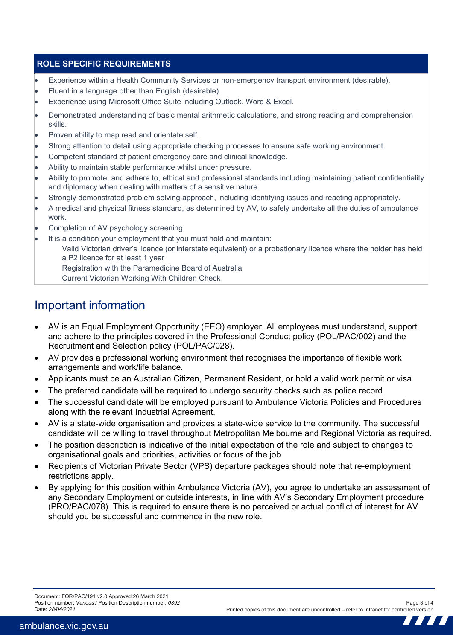#### **ROLE SPECIFIC REQUIREMENTS**

- Experience within a Health Community Services or non-emergency transport environment (desirable).
- Fluent in a language other than English (desirable).
- Experience using Microsoft Office Suite including Outlook, Word & Excel.
- Demonstrated understanding of basic mental arithmetic calculations, and strong reading and comprehension skills.
- Proven ability to map read and orientate self.
- Strong attention to detail using appropriate checking processes to ensure safe working environment.
- Competent standard of patient emergency care and clinical knowledge.
- Ability to maintain stable performance whilst under pressure.
- Ability to promote, and adhere to, ethical and professional standards including maintaining patient confidentiality and diplomacy when dealing with matters of a sensitive nature.
- Strongly demonstrated problem solving approach, including identifying issues and reacting appropriately.
- A medical and physical fitness standard, as determined by AV, to safely undertake all the duties of ambulance work.
- Completion of AV psychology screening.
	- It is a condition your employment that you must hold and maintain:
		- Valid Victorian driver's licence (or interstate equivalent) or a probationary licence where the holder has held a P2 licence for at least 1 year

Registration with the Paramedicine Board of Australia

Current Victorian Working With Children Check

### Important information

- AV is an Equal Employment Opportunity (EEO) employer. All employees must understand, support and adhere to the principles covered in the Professional Conduct policy (POL/PAC/002) and the Recruitment and Selection policy (POL/PAC/028).
- AV provides a professional working environment that recognises the importance of flexible work arrangements and work/life balance.
- Applicants must be an Australian Citizen, Permanent Resident, or hold a valid work permit or visa.
- The preferred candidate will be required to undergo security checks such as police record.
- The successful candidate will be employed pursuant to Ambulance Victoria Policies and Procedures along with the relevant Industrial Agreement.
- AV is a state-wide organisation and provides a state-wide service to the community. The successful candidate will be willing to travel throughout Metropolitan Melbourne and Regional Victoria as required.
- The position description is indicative of the initial expectation of the role and subject to changes to organisational goals and priorities, activities or focus of the job.
- Recipients of Victorian Private Sector (VPS) departure packages should note that re-employment restrictions apply.
- By applying for this position within Ambulance Victoria (AV), you agree to undertake an assessment of any Secondary Employment or outside interests, in line with AV's Secondary Employment procedure (PRO/PAC/078). This is required to ensure there is no perceived or actual conflict of interest for AV should you be successful and commence in the new role.

77 77